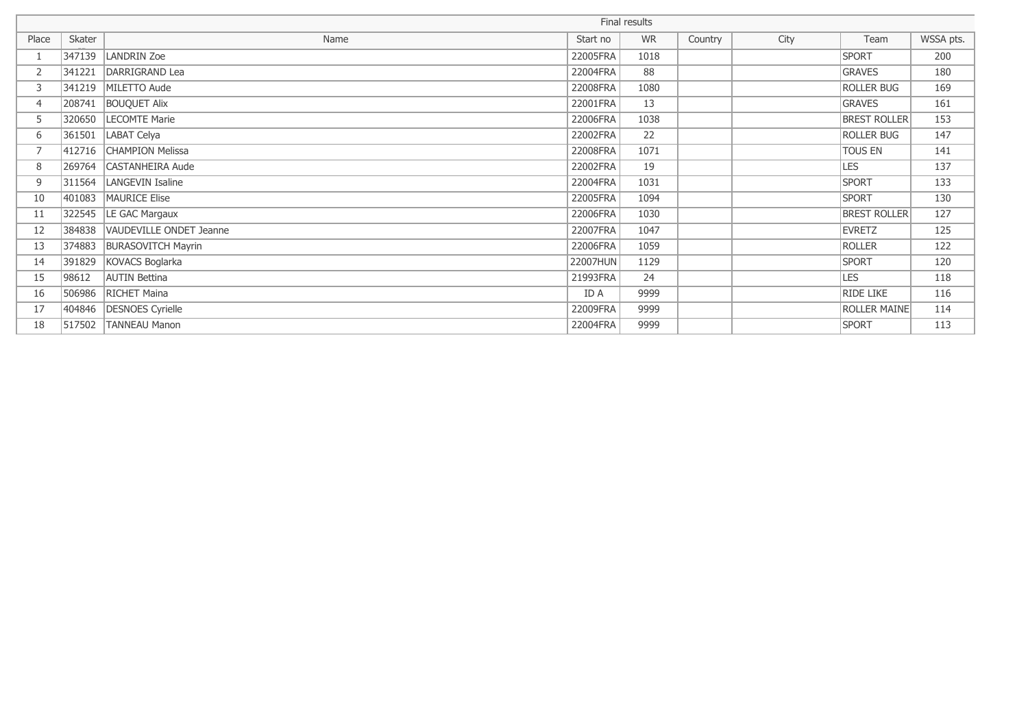|       |        |                           | Final results |           |         |      |                     |           |
|-------|--------|---------------------------|---------------|-----------|---------|------|---------------------|-----------|
| Place | Skater | Name                      | Start no      | <b>WR</b> | Country | City | Team                | WSSA pts. |
|       | 347139 | LANDRIN Zoe               | 22005FRA      | 1018      |         |      | <b>SPORT</b>        | 200       |
| 2     | 341221 | DARRIGRAND Lea            | 22004FRA      | 88        |         |      | <b>GRAVES</b>       | 180       |
| 3     | 341219 | MILETTO Aude              | 22008FRA      | 1080      |         |      | <b>ROLLER BUG</b>   | 169       |
| 4     | 208741 | <b>BOUQUET Alix</b>       | 22001FRA      | 13        |         |      | <b>GRAVES</b>       | 161       |
| 5     | 320650 | LECOMTE Marie             | 22006FRA      | 1038      |         |      | <b>BREST ROLLER</b> | 153       |
| 6     | 361501 | LABAT Celya               | 22002FRA      | 22        |         |      | <b>ROLLER BUG</b>   | 147       |
|       | 412716 | <b>CHAMPION Melissa</b>   | 22008FRA      | 1071      |         |      | <b>TOUS EN</b>      | 141       |
| 8     | 269764 | CASTANHEIRA Aude          | 22002FRA      | 19        |         |      | <b>LES</b>          | 137       |
| 9     |        | 311564   LANGEVIN Isaline | 22004FRA      | 1031      |         |      | <b>SPORT</b>        | 133       |
| 10    | 401083 | MAURICE Elise             | 22005FRA      | 1094      |         |      | <b>SPORT</b>        | 130       |
| 11    | 322545 | LE GAC Margaux            | 22006FRA      | 1030      |         |      | <b>BREST ROLLER</b> | 127       |
| 12    | 384838 | VAUDEVILLE ONDET Jeanne   | 22007FRA      | 1047      |         |      | EVRETZ              | 125       |
| 13    | 374883 | <b>BURASOVITCH Mayrin</b> | 22006FRA      | 1059      |         |      | <b>ROLLER</b>       | 122       |
| 14    | 391829 | KOVACS Boglarka           | 22007HUN      | 1129      |         |      | <b>SPORT</b>        | 120       |
| 15    | 98612  | <b>AUTIN Bettina</b>      | 21993FRA      | 24        |         |      | <b>LES</b>          | 118       |
| 16    | 506986 | RICHET Maina              | ID A          | 9999      |         |      | <b>RIDE LIKE</b>    | 116       |
| 17    | 404846 | DESNOES Cyrielle          | 22009FRA      | 9999      |         |      | <b>ROLLER MAINE</b> | 114       |
| 18    | 517502 | <b>TANNEAU Manon</b>      | 22004FRA      | 9999      |         |      | <b>SPORT</b>        | 113       |
|       |        |                           |               |           |         |      |                     |           |